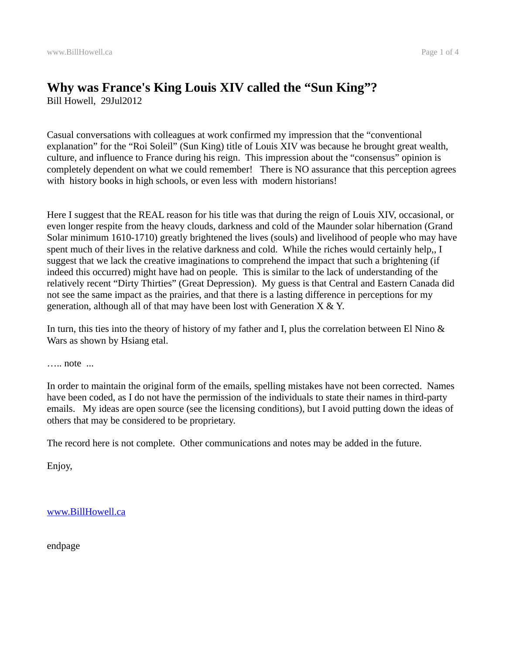# **Why was France's King Louis XIV called the "Sun King"?** Bill Howell, 29Jul2012

Casual conversations with colleagues at work confirmed my impression that the "conventional explanation" for the "Roi Soleil" (Sun King) title of Louis XIV was because he brought great wealth, culture, and influence to France during his reign. This impression about the "consensus" opinion is completely dependent on what we could remember! There is NO assurance that this perception agrees with history books in high schools, or even less with modern historians!

Here I suggest that the REAL reason for his title was that during the reign of Louis XIV, occasional, or even longer respite from the heavy clouds, darkness and cold of the Maunder solar hibernation (Grand Solar minimum 1610-1710) greatly brightened the lives (souls) and livelihood of people who may have spent much of their lives in the relative darkness and cold. While the riches would certainly help,, I suggest that we lack the creative imaginations to comprehend the impact that such a brightening (if indeed this occurred) might have had on people. This is similar to the lack of understanding of the relatively recent "Dirty Thirties" (Great Depression). My guess is that Central and Eastern Canada did not see the same impact as the prairies, and that there is a lasting difference in perceptions for my generation, although all of that may have been lost with Generation  $X \& Y$ .

In turn, this ties into the theory of history of my father and I, plus the correlation between El Nino & Wars as shown by Hsiang etal.

….. note ...

In order to maintain the original form of the emails, spelling mistakes have not been corrected. Names have been coded, as I do not have the permission of the individuals to state their names in third-party emails. My ideas are open source (see the licensing conditions), but I avoid putting down the ideas of others that may be considered to be proprietary.

The record here is not complete. Other communications and notes may be added in the future.

Enjoy,

[www.BillHowell.ca](http://www.BillHowell.ca/)

endpage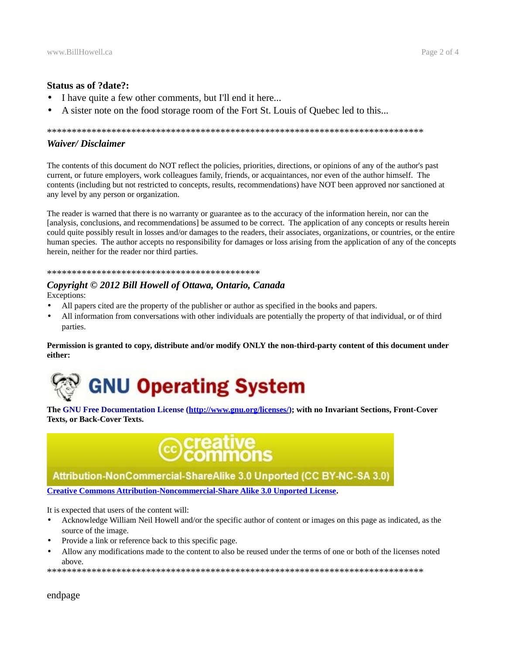## **Status as of ?date?:**

- I have quite a few other comments, but I'll end it here...
- A sister note on the food storage room of the Fort St. Louis of Quebec led to this...

#### \*\*\*\*\*\*\*\*\*\*\*\*\*\*\*\*\*\*\*\*\*\*\*\*\*\*\*\*\*\*\*\*\*\*\*\*\*\*\*\*\*\*\*\*\*\*\*\*\*\*\*\*\*\*\*\*\*\*\*\*\*\*\*\*\*\*\*\*\*\*\*\*\*\*\*\*

## *Waiver/ Disclaimer*

The contents of this document do NOT reflect the policies, priorities, directions, or opinions of any of the author's past current, or future employers, work colleagues family, friends, or acquaintances, nor even of the author himself. The contents (including but not restricted to concepts, results, recommendations) have NOT been approved nor sanctioned at any level by any person or organization.

The reader is warned that there is no warranty or guarantee as to the accuracy of the information herein, nor can the [analysis, conclusions, and recommendations] be assumed to be correct. The application of any concepts or results herein could quite possibly result in losses and/or damages to the readers, their associates, organizations, or countries, or the entire human species. The author accepts no responsibility for damages or loss arising from the application of any of the concepts herein, neither for the reader nor third parties.

#### \*\*\*\*\*\*\*\*\*\*\*\*\*\*\*\*\*\*\*\*\*\*\*\*\*\*\*\*\*\*\*\*\*\*\*\*\*\*\*\*\*\*\*

# *Copyright © 2012 Bill Howell of Ottawa, Ontario, Canada*

Exceptions:

- All papers cited are the property of the publisher or author as specified in the books and papers.
- All information from conversations with other individuals are potentially the property of that individual, or of third parties.

**Permission is granted to copy, distribute and/or modify ONLY the non-third-party content of this document under either:**



**The GNU Free Documentation License [\(http://www.gnu.org/licenses/\)](http://www.gnu.org/licenses/); with no Invariant Sections, Front-Cover Texts, or Back-Cover Texts.**



# Attribution-NonCommercial-ShareAlike 3.0 Unported (CC BY-NC-SA 3.0)

**[Creative Commons Attribution-Noncommercial-Share Alike 3.0 Unported License.](http://creativecommons.org/licenses/by-nc-sa/3.0/)**

It is expected that users of the content will:

- Acknowledge William Neil Howell and/or the specific author of content or images on this page as indicated, as the source of the image.
- Provide a link or reference back to this specific page.
- Allow any modifications made to the content to also be reused under the terms of one or both of the licenses noted above.

\*\*\*\*\*\*\*\*\*\*\*\*\*\*\*\*\*\*\*\*\*\*\*\*\*\*\*\*\*\*\*\*\*\*\*\*\*\*\*\*\*\*\*\*\*\*\*\*\*\*\*\*\*\*\*\*\*\*\*\*\*\*\*\*\*\*\*\*\*\*\*\*\*\*\*\*

endpage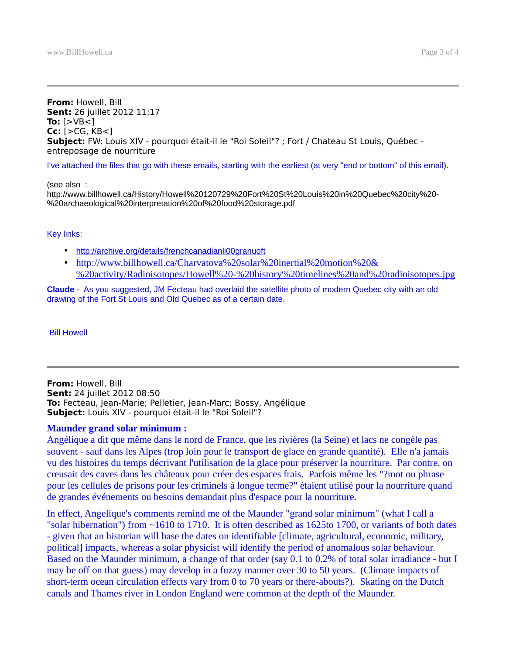#### **From:** Howell, Bill **Sent:** 26 juillet 2012 11:17 **To:** [>VB<] **Cc:** [>CG, KB<] **Subject:** FW: Louis XIV - pourquoi était-il le "Roi Soleil"? ; Fort / Chateau St Louis, Québec entreposage de nourriture

I've attached the files that go with these emails, starting with the earliest (at very "end or bottom" of this email).

(see also : http://www.billhowell.ca/History/Howell%20120729%20Fort%20St%20Louis%20in%20Quebec%20city%20- %20archaeological%20interpretation%20of%20food%20storage.pdf

## Key links:

- • [http://archive.org/details/frenchcanadianli00granuoft](http://archive.org/details/frenchcanadianli00granuoftRoger)
- • [http://www.billhowell.ca/Charvatova%20solar%20inertial%20motion%20&](http://www.billhowell.ca/Charvatova%20solar%20inertial%20motion%20&%20activity/Radioisotopes/Howell%20-%20history%20timelines%20and%20radioisotopes.jpg) [%20activity/Radioisotopes/Howell%20-%20history%20timelines%20and%20radioisotopes.jpg](http://www.billhowell.ca/Charvatova%20solar%20inertial%20motion%20&%20activity/Radioisotopes/Howell%20-%20history%20timelines%20and%20radioisotopes.jpg)

**Claude** - As you suggested, JM Fecteau had overlaid the satellite photo of modern Quebec city with an old drawing of the Fort St Louis and Old Quebec as of a certain date.

Bill Howell

**From:** Howell, Bill **Sent:** 24 juillet 2012 08:50 **To:** Fecteau, Jean-Marie; Pelletier, Jean-Marc; Bossy, Angélique **Subject:** Louis XIV - pourquoi était-il le "Roi Soleil"?

# **Maunder grand solar minimum :**

Angélique a dit que même dans le nord de France, que les rivières (la Seine) et lacs ne congèle pas souvent - sauf dans les Alpes (trop loin pour le transport de glace en grande quantité). Elle n'a jamais vu des histoires du temps décrivant l'utilisation de la glace pour préserver la nourriture. Par contre, on creusait des caves dans les châteaux pour créer des espaces frais. Parfois même les "?mot ou phrase pour les cellules de prisons pour les criminels à longue terme?" étaient utilisé pour la nourriture quand de grandes événements ou besoins demandait plus d'espace pour la nourriture.

In effect, Angelique's comments remind me of the Maunder "grand solar minimum" (what I call a "solar hibernation") from ~1610 to 1710. It is often described as 1625to 1700, or variants of both dates - given that an historian will base the dates on identifiable [climate, agricultural, economic, military, political] impacts, whereas a solar physicist will identify the period of anomalous solar behaviour. Based on the Maunder minimum, a change of that order (say 0.1 to 0.2% of total solar irradiance - but I may be off on that guess) may develop in a fuzzy manner over 30 to 50 years. (Climate impacts of short-term ocean circulation effects vary from 0 to 70 years or there-abouts?). Skating on the Dutch canals and Thames river in London England were common at the depth of the Maunder.